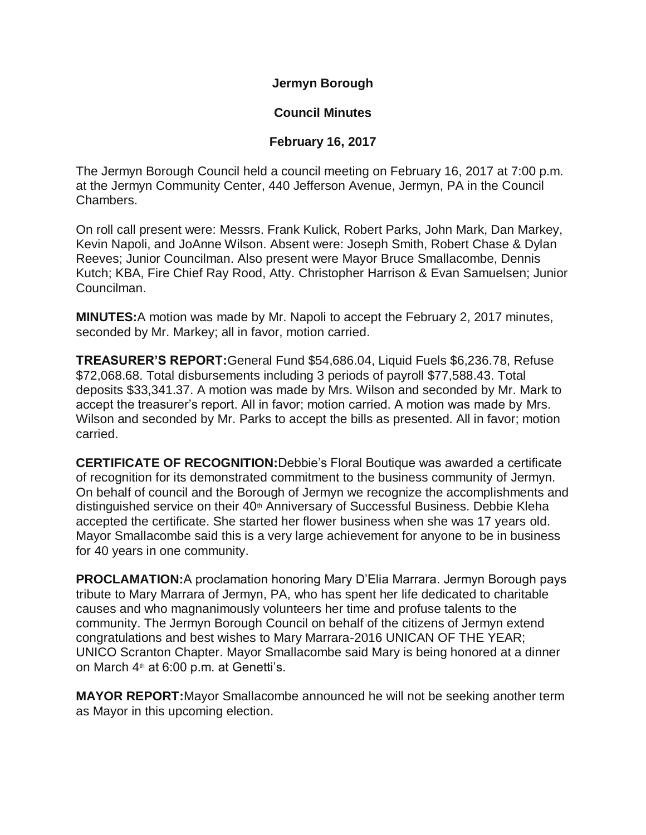**Jermyn Borough**

## **Council Minutes**

## **February 16, 2017**

The Jermyn Borough Council held a council meeting on February 16, 2017 at 7:00 p.m. at the Jermyn Community Center, 440 Jefferson Avenue, Jermyn, PA in the Council Chambers.

On roll call present were: Messrs. Frank Kulick, Robert Parks, John Mark, Dan Markey, Kevin Napoli, and JoAnne Wilson. Absent were: Joseph Smith, Robert Chase & Dylan Reeves; Junior Councilman. Also present were Mayor Bruce Smallacombe, Dennis Kutch; KBA, Fire Chief Ray Rood, Atty. Christopher Harrison & Evan Samuelsen; Junior Councilman.

**MINUTES:**A motion was made by Mr. Napoli to accept the February 2, 2017 minutes, seconded by Mr. Markey; all in favor, motion carried.

**TREASURER'S REPORT:**General Fund \$54,686.04, Liquid Fuels \$6,236.78, Refuse \$72,068.68. Total disbursements including 3 periods of payroll \$77,588.43. Total deposits \$33,341.37. A motion was made by Mrs. Wilson and seconded by Mr. Mark to accept the treasurer's report. All in favor; motion carried. A motion was made by Mrs. Wilson and seconded by Mr. Parks to accept the bills as presented. All in favor; motion carried.

**CERTIFICATE OF RECOGNITION:**Debbie's Floral Boutique was awarded a certificate of recognition for its demonstrated commitment to the business community of Jermyn. On behalf of council and the Borough of Jermyn we recognize the accomplishments and distinguished service on their 40<sup>th</sup> Anniversary of Successful Business. Debbie Kleha accepted the certificate. She started her flower business when she was 17 years old. Mayor Smallacombe said this is a very large achievement for anyone to be in business for 40 years in one community.

**PROCLAMATION:**A proclamation honoring Mary D'Elia Marrara. Jermyn Borough pays tribute to Mary Marrara of Jermyn, PA, who has spent her life dedicated to charitable causes and who magnanimously volunteers her time and profuse talents to the community. The Jermyn Borough Council on behalf of the citizens of Jermyn extend congratulations and best wishes to Mary Marrara-2016 UNICAN OF THE YEAR; UNICO Scranton Chapter. Mayor Smallacombe said Mary is being honored at a dinner on March 4<sup>th</sup> at 6:00 p.m. at Genetti's.

**MAYOR REPORT:**Mayor Smallacombe announced he will not be seeking another term as Mayor in this upcoming election.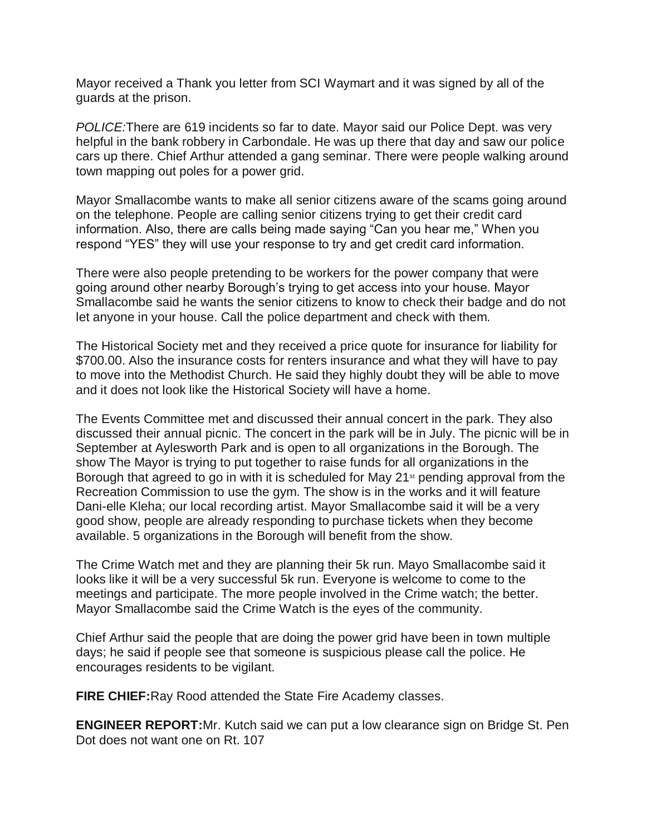Mayor received a Thank you letter from SCI Waymart and it was signed by all of the guards at the prison.

*POLICE:*There are 619 incidents so far to date. Mayor said our Police Dept. was very helpful in the bank robbery in Carbondale. He was up there that day and saw our police cars up there. Chief Arthur attended a gang seminar. There were people walking around town mapping out poles for a power grid.

Mayor Smallacombe wants to make all senior citizens aware of the scams going around on the telephone. People are calling senior citizens trying to get their credit card information. Also, there are calls being made saying "Can you hear me," When you respond "YES" they will use your response to try and get credit card information.

There were also people pretending to be workers for the power company that were going around other nearby Borough's trying to get access into your house. Mayor Smallacombe said he wants the senior citizens to know to check their badge and do not let anyone in your house. Call the police department and check with them.

The Historical Society met and they received a price quote for insurance for liability for \$700.00. Also the insurance costs for renters insurance and what they will have to pay to move into the Methodist Church. He said they highly doubt they will be able to move and it does not look like the Historical Society will have a home.

The Events Committee met and discussed their annual concert in the park. They also discussed their annual picnic. The concert in the park will be in July. The picnic will be in September at Aylesworth Park and is open to all organizations in the Borough. The show The Mayor is trying to put together to raise funds for all organizations in the Borough that agreed to go in with it is scheduled for May  $21<sup>st</sup>$  pending approval from the Recreation Commission to use the gym. The show is in the works and it will feature Dani-elle Kleha; our local recording artist. Mayor Smallacombe said it will be a very good show, people are already responding to purchase tickets when they become available. 5 organizations in the Borough will benefit from the show.

The Crime Watch met and they are planning their 5k run. Mayo Smallacombe said it looks like it will be a very successful 5k run. Everyone is welcome to come to the meetings and participate. The more people involved in the Crime watch; the better. Mayor Smallacombe said the Crime Watch is the eyes of the community.

Chief Arthur said the people that are doing the power grid have been in town multiple days; he said if people see that someone is suspicious please call the police. He encourages residents to be vigilant.

**FIRE CHIEF: Ray Rood attended the State Fire Academy classes.** 

**ENGINEER REPORT:**Mr. Kutch said we can put a low clearance sign on Bridge St. Pen Dot does not want one on Rt. 107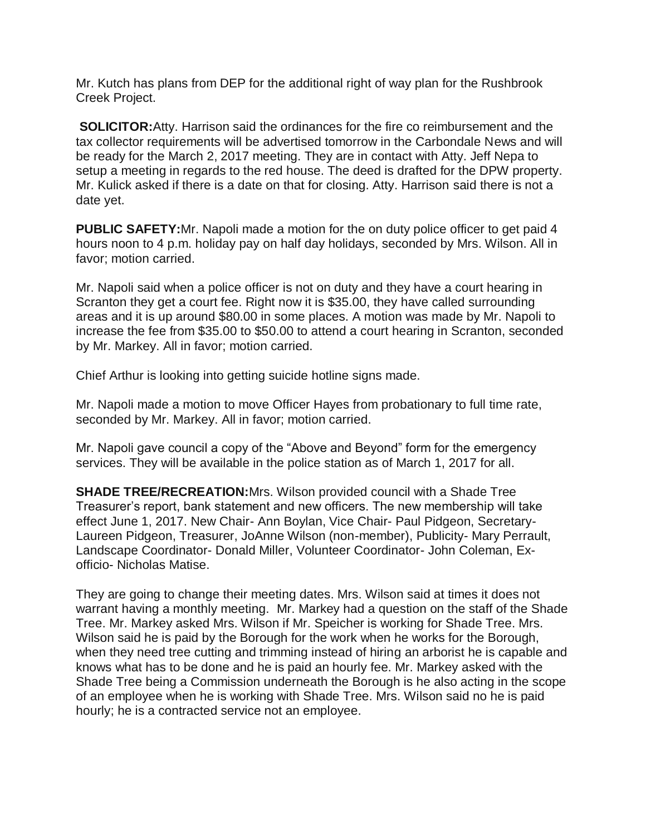Mr. Kutch has plans from DEP for the additional right of way plan for the Rushbrook Creek Project.

**SOLICITOR:**Atty. Harrison said the ordinances for the fire co reimbursement and the tax collector requirements will be advertised tomorrow in the Carbondale News and will be ready for the March 2, 2017 meeting. They are in contact with Atty. Jeff Nepa to setup a meeting in regards to the red house. The deed is drafted for the DPW property. Mr. Kulick asked if there is a date on that for closing. Atty. Harrison said there is not a date yet.

**PUBLIC SAFETY:**Mr. Napoli made a motion for the on duty police officer to get paid 4 hours noon to 4 p.m. holiday pay on half day holidays, seconded by Mrs. Wilson. All in favor; motion carried.

Mr. Napoli said when a police officer is not on duty and they have a court hearing in Scranton they get a court fee. Right now it is \$35.00, they have called surrounding areas and it is up around \$80.00 in some places. A motion was made by Mr. Napoli to increase the fee from \$35.00 to \$50.00 to attend a court hearing in Scranton, seconded by Mr. Markey. All in favor; motion carried.

Chief Arthur is looking into getting suicide hotline signs made.

Mr. Napoli made a motion to move Officer Hayes from probationary to full time rate, seconded by Mr. Markey. All in favor; motion carried.

Mr. Napoli gave council a copy of the "Above and Beyond" form for the emergency services. They will be available in the police station as of March 1, 2017 for all.

**SHADE TREE/RECREATION:**Mrs. Wilson provided council with a Shade Tree Treasurer's report, bank statement and new officers. The new membership will take effect June 1, 2017. New Chair- Ann Boylan, Vice Chair- Paul Pidgeon, Secretary-Laureen Pidgeon, Treasurer, JoAnne Wilson (non-member), Publicity- Mary Perrault, Landscape Coordinator- Donald Miller, Volunteer Coordinator- John Coleman, Exofficio- Nicholas Matise.

They are going to change their meeting dates. Mrs. Wilson said at times it does not warrant having a monthly meeting. Mr. Markey had a question on the staff of the Shade Tree. Mr. Markey asked Mrs. Wilson if Mr. Speicher is working for Shade Tree. Mrs. Wilson said he is paid by the Borough for the work when he works for the Borough, when they need tree cutting and trimming instead of hiring an arborist he is capable and knows what has to be done and he is paid an hourly fee. Mr. Markey asked with the Shade Tree being a Commission underneath the Borough is he also acting in the scope of an employee when he is working with Shade Tree. Mrs. Wilson said no he is paid hourly; he is a contracted service not an employee.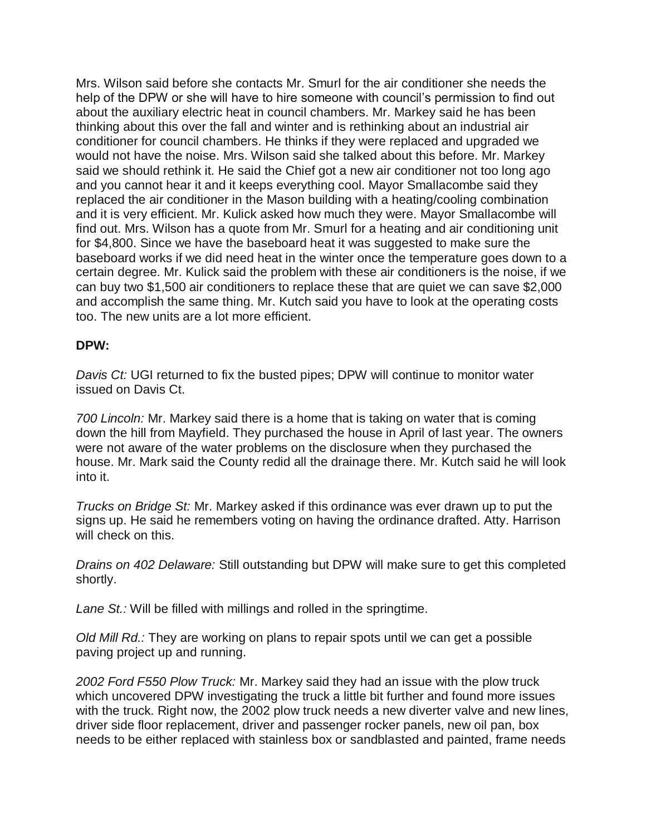Mrs. Wilson said before she contacts Mr. Smurl for the air conditioner she needs the help of the DPW or she will have to hire someone with council's permission to find out about the auxiliary electric heat in council chambers. Mr. Markey said he has been thinking about this over the fall and winter and is rethinking about an industrial air conditioner for council chambers. He thinks if they were replaced and upgraded we would not have the noise. Mrs. Wilson said she talked about this before. Mr. Markey said we should rethink it. He said the Chief got a new air conditioner not too long ago and you cannot hear it and it keeps everything cool. Mayor Smallacombe said they replaced the air conditioner in the Mason building with a heating/cooling combination and it is very efficient. Mr. Kulick asked how much they were. Mayor Smallacombe will find out. Mrs. Wilson has a quote from Mr. Smurl for a heating and air conditioning unit for \$4,800. Since we have the baseboard heat it was suggested to make sure the baseboard works if we did need heat in the winter once the temperature goes down to a certain degree. Mr. Kulick said the problem with these air conditioners is the noise, if we can buy two \$1,500 air conditioners to replace these that are quiet we can save \$2,000 and accomplish the same thing. Mr. Kutch said you have to look at the operating costs too. The new units are a lot more efficient.

## **DPW:**

*Davis Ct:* UGI returned to fix the busted pipes; DPW will continue to monitor water issued on Davis Ct.

*700 Lincoln:* Mr. Markey said there is a home that is taking on water that is coming down the hill from Mayfield. They purchased the house in April of last year. The owners were not aware of the water problems on the disclosure when they purchased the house. Mr. Mark said the County redid all the drainage there. Mr. Kutch said he will look into it.

*Trucks on Bridge St:* Mr. Markey asked if this ordinance was ever drawn up to put the signs up. He said he remembers voting on having the ordinance drafted. Atty. Harrison will check on this.

*Drains on 402 Delaware:* Still outstanding but DPW will make sure to get this completed shortly.

*Lane St.:* Will be filled with millings and rolled in the springtime.

*Old Mill Rd.:* They are working on plans to repair spots until we can get a possible paving project up and running.

*2002 Ford F550 Plow Truck:* Mr. Markey said they had an issue with the plow truck which uncovered DPW investigating the truck a little bit further and found more issues with the truck. Right now, the 2002 plow truck needs a new diverter valve and new lines, driver side floor replacement, driver and passenger rocker panels, new oil pan, box needs to be either replaced with stainless box or sandblasted and painted, frame needs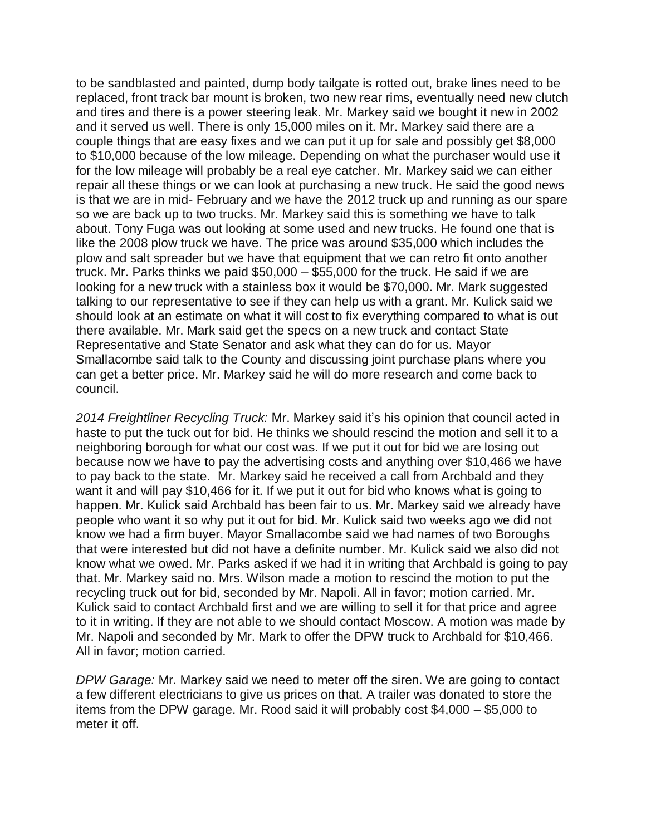to be sandblasted and painted, dump body tailgate is rotted out, brake lines need to be replaced, front track bar mount is broken, two new rear rims, eventually need new clutch and tires and there is a power steering leak. Mr. Markey said we bought it new in 2002 and it served us well. There is only 15,000 miles on it. Mr. Markey said there are a couple things that are easy fixes and we can put it up for sale and possibly get \$8,000 to \$10,000 because of the low mileage. Depending on what the purchaser would use it for the low mileage will probably be a real eye catcher. Mr. Markey said we can either repair all these things or we can look at purchasing a new truck. He said the good news is that we are in mid- February and we have the 2012 truck up and running as our spare so we are back up to two trucks. Mr. Markey said this is something we have to talk about. Tony Fuga was out looking at some used and new trucks. He found one that is like the 2008 plow truck we have. The price was around \$35,000 which includes the plow and salt spreader but we have that equipment that we can retro fit onto another truck. Mr. Parks thinks we paid \$50,000 – \$55,000 for the truck. He said if we are looking for a new truck with a stainless box it would be \$70,000. Mr. Mark suggested talking to our representative to see if they can help us with a grant. Mr. Kulick said we should look at an estimate on what it will cost to fix everything compared to what is out there available. Mr. Mark said get the specs on a new truck and contact State Representative and State Senator and ask what they can do for us. Mayor Smallacombe said talk to the County and discussing joint purchase plans where you can get a better price. Mr. Markey said he will do more research and come back to council.

*2014 Freightliner Recycling Truck:* Mr. Markey said it's his opinion that council acted in haste to put the tuck out for bid. He thinks we should rescind the motion and sell it to a neighboring borough for what our cost was. If we put it out for bid we are losing out because now we have to pay the advertising costs and anything over \$10,466 we have to pay back to the state. Mr. Markey said he received a call from Archbald and they want it and will pay \$10,466 for it. If we put it out for bid who knows what is going to happen. Mr. Kulick said Archbald has been fair to us. Mr. Markey said we already have people who want it so why put it out for bid. Mr. Kulick said two weeks ago we did not know we had a firm buyer. Mayor Smallacombe said we had names of two Boroughs that were interested but did not have a definite number. Mr. Kulick said we also did not know what we owed. Mr. Parks asked if we had it in writing that Archbald is going to pay that. Mr. Markey said no. Mrs. Wilson made a motion to rescind the motion to put the recycling truck out for bid, seconded by Mr. Napoli. All in favor; motion carried. Mr. Kulick said to contact Archbald first and we are willing to sell it for that price and agree to it in writing. If they are not able to we should contact Moscow. A motion was made by Mr. Napoli and seconded by Mr. Mark to offer the DPW truck to Archbald for \$10,466. All in favor; motion carried.

*DPW Garage:* Mr. Markey said we need to meter off the siren. We are going to contact a few different electricians to give us prices on that. A trailer was donated to store the items from the DPW garage. Mr. Rood said it will probably cost \$4,000 – \$5,000 to meter it off.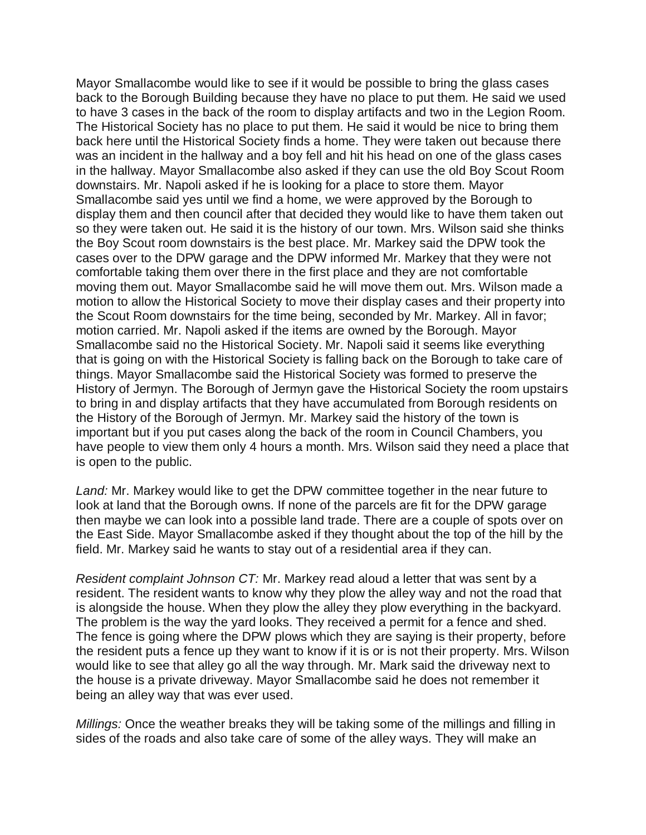Mayor Smallacombe would like to see if it would be possible to bring the glass cases back to the Borough Building because they have no place to put them. He said we used to have 3 cases in the back of the room to display artifacts and two in the Legion Room. The Historical Society has no place to put them. He said it would be nice to bring them back here until the Historical Society finds a home. They were taken out because there was an incident in the hallway and a boy fell and hit his head on one of the glass cases in the hallway. Mayor Smallacombe also asked if they can use the old Boy Scout Room downstairs. Mr. Napoli asked if he is looking for a place to store them. Mayor Smallacombe said yes until we find a home, we were approved by the Borough to display them and then council after that decided they would like to have them taken out so they were taken out. He said it is the history of our town. Mrs. Wilson said she thinks the Boy Scout room downstairs is the best place. Mr. Markey said the DPW took the cases over to the DPW garage and the DPW informed Mr. Markey that they were not comfortable taking them over there in the first place and they are not comfortable moving them out. Mayor Smallacombe said he will move them out. Mrs. Wilson made a motion to allow the Historical Society to move their display cases and their property into the Scout Room downstairs for the time being, seconded by Mr. Markey. All in favor; motion carried. Mr. Napoli asked if the items are owned by the Borough. Mayor Smallacombe said no the Historical Society. Mr. Napoli said it seems like everything that is going on with the Historical Society is falling back on the Borough to take care of things. Mayor Smallacombe said the Historical Society was formed to preserve the History of Jermyn. The Borough of Jermyn gave the Historical Society the room upstairs to bring in and display artifacts that they have accumulated from Borough residents on the History of the Borough of Jermyn. Mr. Markey said the history of the town is important but if you put cases along the back of the room in Council Chambers, you have people to view them only 4 hours a month. Mrs. Wilson said they need a place that is open to the public.

*Land:* Mr. Markey would like to get the DPW committee together in the near future to look at land that the Borough owns. If none of the parcels are fit for the DPW garage then maybe we can look into a possible land trade. There are a couple of spots over on the East Side. Mayor Smallacombe asked if they thought about the top of the hill by the field. Mr. Markey said he wants to stay out of a residential area if they can.

*Resident complaint Johnson CT:* Mr. Markey read aloud a letter that was sent by a resident. The resident wants to know why they plow the alley way and not the road that is alongside the house. When they plow the alley they plow everything in the backyard. The problem is the way the yard looks. They received a permit for a fence and shed. The fence is going where the DPW plows which they are saying is their property, before the resident puts a fence up they want to know if it is or is not their property. Mrs. Wilson would like to see that alley go all the way through. Mr. Mark said the driveway next to the house is a private driveway. Mayor Smallacombe said he does not remember it being an alley way that was ever used.

*Millings:* Once the weather breaks they will be taking some of the millings and filling in sides of the roads and also take care of some of the alley ways. They will make an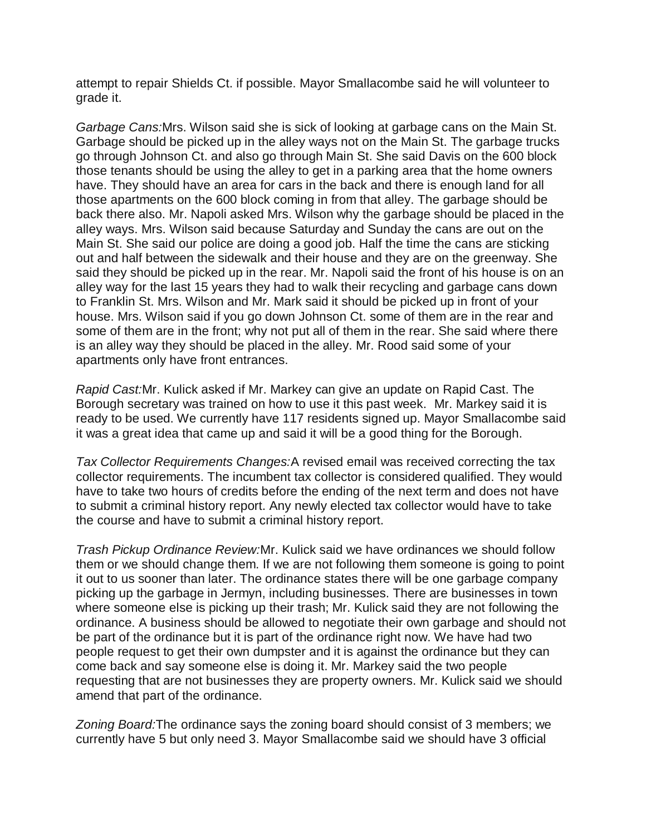attempt to repair Shields Ct. if possible. Mayor Smallacombe said he will volunteer to grade it.

*Garbage Cans:*Mrs. Wilson said she is sick of looking at garbage cans on the Main St. Garbage should be picked up in the alley ways not on the Main St. The garbage trucks go through Johnson Ct. and also go through Main St. She said Davis on the 600 block those tenants should be using the alley to get in a parking area that the home owners have. They should have an area for cars in the back and there is enough land for all those apartments on the 600 block coming in from that alley. The garbage should be back there also. Mr. Napoli asked Mrs. Wilson why the garbage should be placed in the alley ways. Mrs. Wilson said because Saturday and Sunday the cans are out on the Main St. She said our police are doing a good job. Half the time the cans are sticking out and half between the sidewalk and their house and they are on the greenway. She said they should be picked up in the rear. Mr. Napoli said the front of his house is on an alley way for the last 15 years they had to walk their recycling and garbage cans down to Franklin St. Mrs. Wilson and Mr. Mark said it should be picked up in front of your house. Mrs. Wilson said if you go down Johnson Ct. some of them are in the rear and some of them are in the front; why not put all of them in the rear. She said where there is an alley way they should be placed in the alley. Mr. Rood said some of your apartments only have front entrances.

*Rapid Cast:*Mr. Kulick asked if Mr. Markey can give an update on Rapid Cast. The Borough secretary was trained on how to use it this past week. Mr. Markey said it is ready to be used. We currently have 117 residents signed up. Mayor Smallacombe said it was a great idea that came up and said it will be a good thing for the Borough.

*Tax Collector Requirements Changes:*A revised email was received correcting the tax collector requirements. The incumbent tax collector is considered qualified. They would have to take two hours of credits before the ending of the next term and does not have to submit a criminal history report. Any newly elected tax collector would have to take the course and have to submit a criminal history report.

*Trash Pickup Ordinance Review:*Mr. Kulick said we have ordinances we should follow them or we should change them. If we are not following them someone is going to point it out to us sooner than later. The ordinance states there will be one garbage company picking up the garbage in Jermyn, including businesses. There are businesses in town where someone else is picking up their trash; Mr. Kulick said they are not following the ordinance. A business should be allowed to negotiate their own garbage and should not be part of the ordinance but it is part of the ordinance right now. We have had two people request to get their own dumpster and it is against the ordinance but they can come back and say someone else is doing it. Mr. Markey said the two people requesting that are not businesses they are property owners. Mr. Kulick said we should amend that part of the ordinance.

*Zoning Board:*The ordinance says the zoning board should consist of 3 members; we currently have 5 but only need 3. Mayor Smallacombe said we should have 3 official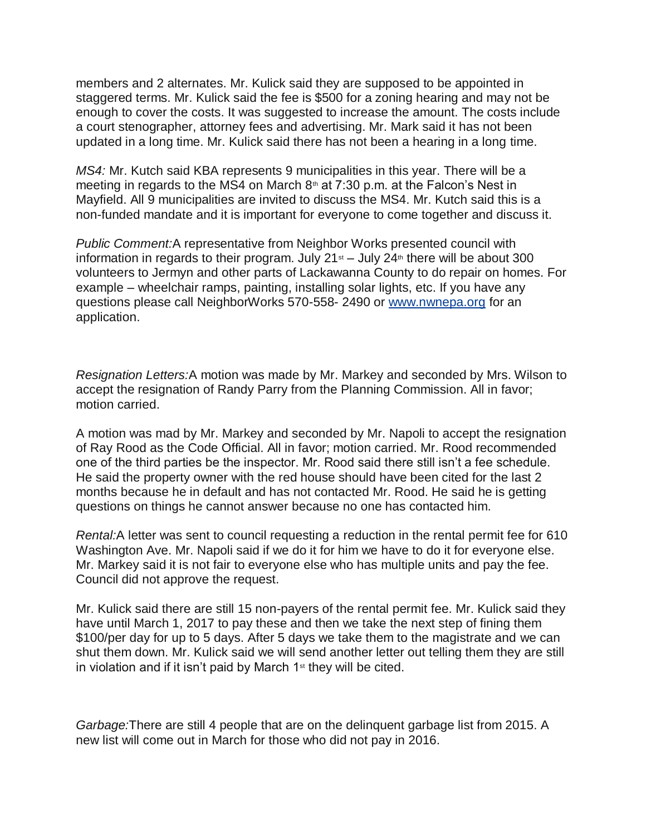members and 2 alternates. Mr. Kulick said they are supposed to be appointed in staggered terms. Mr. Kulick said the fee is \$500 for a zoning hearing and may not be enough to cover the costs. It was suggested to increase the amount. The costs include a court stenographer, attorney fees and advertising. Mr. Mark said it has not been updated in a long time. Mr. Kulick said there has not been a hearing in a long time.

*MS4:* Mr. Kutch said KBA represents 9 municipalities in this year. There will be a meeting in regards to the MS4 on March  $8<sup>th</sup>$  at 7:30 p.m. at the Falcon's Nest in Mayfield. All 9 municipalities are invited to discuss the MS4. Mr. Kutch said this is a non-funded mandate and it is important for everyone to come together and discuss it.

*Public Comment:*A representative from Neighbor Works presented council with information in regards to their program. July  $21<sup>st</sup> -$  July  $24<sup>th</sup>$  there will be about 300 volunteers to Jermyn and other parts of Lackawanna County to do repair on homes. For example – wheelchair ramps, painting, installing solar lights, etc. If you have any questions please call NeighborWorks 570-558- 2490 or [www.nwnepa.org](http://www.nwnepa.org/) for an application.

*Resignation Letters:*A motion was made by Mr. Markey and seconded by Mrs. Wilson to accept the resignation of Randy Parry from the Planning Commission. All in favor; motion carried.

A motion was mad by Mr. Markey and seconded by Mr. Napoli to accept the resignation of Ray Rood as the Code Official. All in favor; motion carried. Mr. Rood recommended one of the third parties be the inspector. Mr. Rood said there still isn't a fee schedule. He said the property owner with the red house should have been cited for the last 2 months because he in default and has not contacted Mr. Rood. He said he is getting questions on things he cannot answer because no one has contacted him.

*Rental:*A letter was sent to council requesting a reduction in the rental permit fee for 610 Washington Ave. Mr. Napoli said if we do it for him we have to do it for everyone else. Mr. Markey said it is not fair to everyone else who has multiple units and pay the fee. Council did not approve the request.

Mr. Kulick said there are still 15 non-payers of the rental permit fee. Mr. Kulick said they have until March 1, 2017 to pay these and then we take the next step of fining them \$100/per day for up to 5 days. After 5 days we take them to the magistrate and we can shut them down. Mr. Kulick said we will send another letter out telling them they are still in violation and if it isn't paid by March  $1<sup>st</sup>$  they will be cited.

*Garbage:*There are still 4 people that are on the delinquent garbage list from 2015. A new list will come out in March for those who did not pay in 2016.